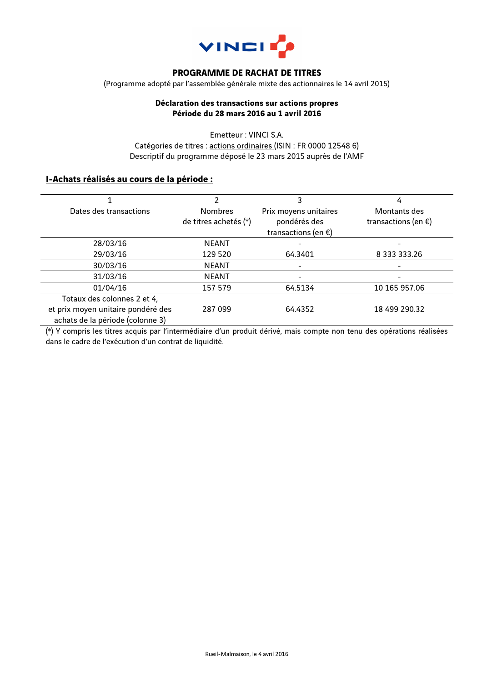

## **PROGRAMME DE RACHAT DE TITRES**

(Programme adopté par l'assemblée générale mixte des actionnaires le 14 avril 2015)

### **Déclaration des transactions sur actions propres Période du 28 mars 2016 au 1 avril 2016**

Emetteur : VINCI S.A. Catégories de titres : actions ordinaires (ISIN : FR 0000 12548 6) Descriptif du programme déposé le 23 mars 2015 auprès de l'AMF

### **I-Achats réalisés au cours de la période :**

|                                    |                       | 3                             | 4                        |
|------------------------------------|-----------------------|-------------------------------|--------------------------|
| Dates des transactions             | <b>Nombres</b>        | Prix moyens unitaires         | Montants des             |
|                                    | de titres achetés (*) | pondérés des                  | transactions (en $\xi$ ) |
|                                    |                       | transactions (en $\epsilon$ ) |                          |
| 28/03/16                           | <b>NEANT</b>          |                               |                          |
| 29/03/16                           | 129 520               | 64.3401                       | 8 333 333.26             |
| 30/03/16                           | <b>NEANT</b>          |                               |                          |
| 31/03/16                           | <b>NEANT</b>          |                               |                          |
| 01/04/16                           | 157 579               | 64.5134                       | 10 165 957.06            |
| Totaux des colonnes 2 et 4,        |                       |                               |                          |
| et prix moyen unitaire pondéré des | 287 099               | 64.4352                       | 18 499 290.32            |
| achats de la période (colonne 3)   |                       |                               |                          |

(\*) Y compris les titres acquis par l'intermédiaire d'un produit dérivé, mais compte non tenu des opérations réalisées dans le cadre de l'exécution d'un contrat de liquidité.